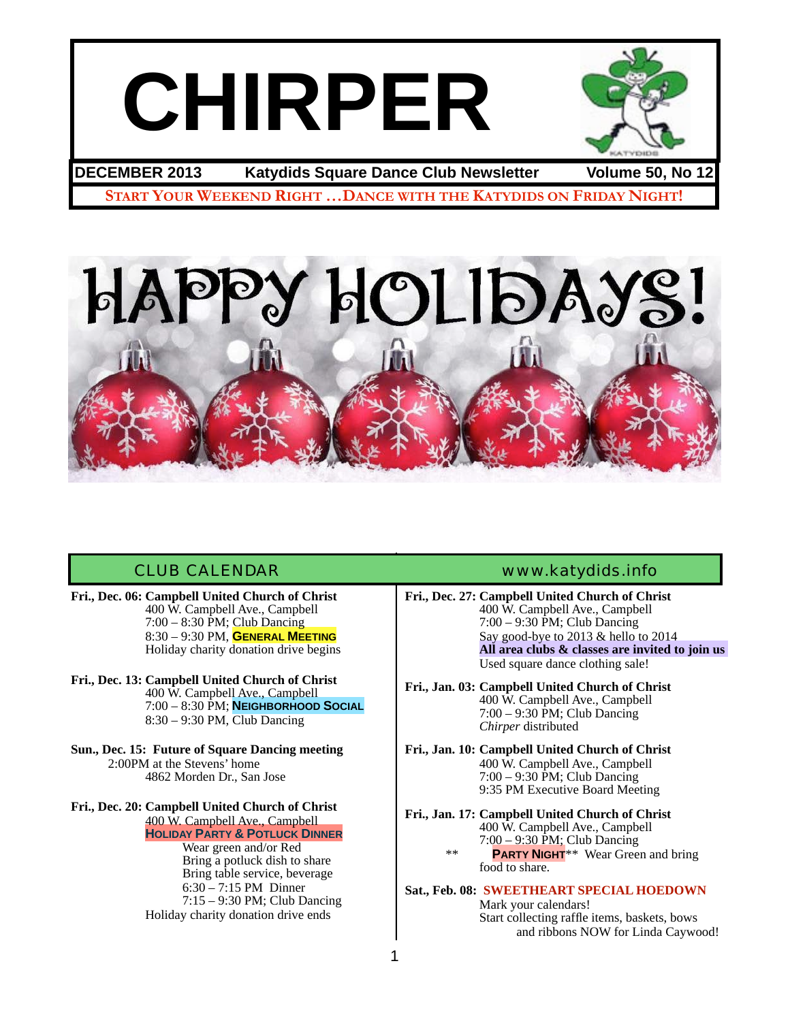# **CHIRPER**



## **DECEMBER 2013 Katydids Square Dance Club Newsletter Volume 50, No 12**

**START YOUR WEEKEND RIGHT …DANCE WITH THE KATYDIDS ON FRIDAY NIGHT!**



**Fri., Dec. 06: Campbell United Church of Christ** 400 W. Campbell Ave., Campbell ! ! 7:00 – 8:30 PM; Club Dancing ! ! 8:30 – 9:30 PM, **GENERAL MEETING** ! ! Holiday charity donation drive begins

**Fri., Dec. 13: Campbell United Church of Christ** ! ! 400 W. Campbell Ave., Campbell ! ! 7:00 – 8:30 PM; **NEIGHBORHOOD SOCIAL** 8:30 – 9:30 PM, Club Dancing

**Sun., Dec. 15: Future of Square Dancing meeting** 2:00PM at the Stevens' home ! ! 4862 Morden Dr., San Jose

#### **Fri., Dec. 20: Campbell United Church of Christ** ! ! 400 W. Campbell Ave., Campbell ! ! **HOLIDAY PARTY & POTLUCK DINNER**

Wear green and/or Red Bring a potluck dish to share Bring table service, beverage 6:30 – 7:15 PM Dinner ! ! ! 7:15 – 9:30 PM; Club Dancing Holiday charity donation drive ends

#### CLUB CALENDAR [www.katydids.info](http://www.katydids.info)

**Fri., Dec. 27: Campbell United Church of Christ** 400 W. Campbell Ave., Campbell ! ! 7:00 – 9:30 PM; Club Dancing Say good-bye to 2013 & hello to 2014 ! ! **All area clubs & classes are invited to join us**  Used square dance clothing sale!

**Fri., Jan. 03: Campbell United Church of Christ** ! ! 400 W. Campbell Ave., Campbell ! ! 7:00 – 9:30 PM; Club Dancing *Chirper* distributed

**Fri., Jan. 10: Campbell United Church of Christ** ! ! 400 W. Campbell Ave., Campbell ! ! 7:00 – 9:30 PM; Club Dancing 9:35 PM Executive Board Meeting

**Fri., Jan. 17: Campbell United Church of Christ** ! ! 400 W. Campbell Ave., Campbell ! ! 7:00 – 9:30 PM; Club Dancing \*\* **PARTY NIGHT**\*\* Wear Green and bring food to share.

## **Sat., Feb. 08: SWEETHEART SPECIAL HOEDOWN** Wark your calendars!<br>Start collecting raffle items, baskets, bows

and ribbons NOW for Linda Caywood!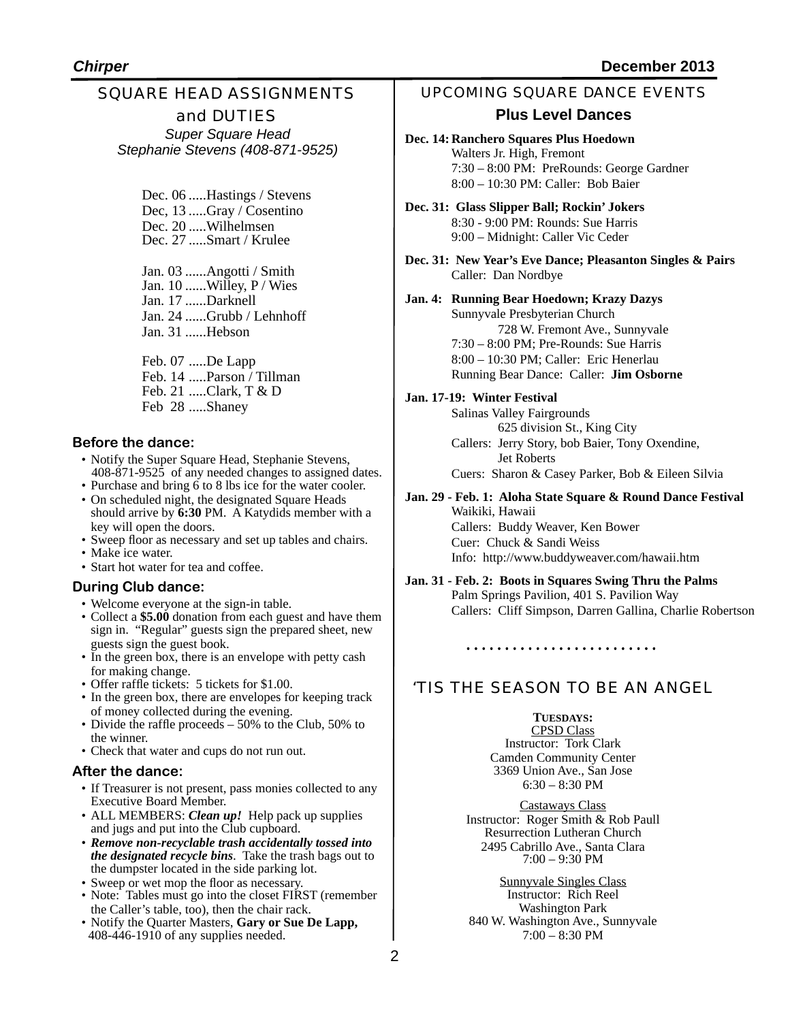#### SQUARE HEAD ASSIGNMENTS and DUTIES *Super Square Head Stephanie Stevens (408-871-9525)*

Dec. 06 .....Hastings / Stevens Dec, 13 .....Gray / Cosentino Dec. 20 .....Wilhelmsen Dec. 27 .....Smart / Krulee

Jan. 03 ......Angotti / Smith Jan. 10 ......Willey, P / Wies Jan. 17 ......Darknell Jan. 24 ......Grubb / Lehnhoff Jan. 31 ......Hebson

Feb. 07 .....De Lapp Feb. 14 .....Parson / Tillman Feb. 21 .....Clark, T & D Feb 28 .....Shaney

#### **Before the dance:**

- Notify the Super Square Head, Stephanie Stevens, 408-871-9525 of any needed changes to assigned dates.
- Purchase and bring 6 to 8 lbs ice for the water cooler.
- On scheduled night, the designated Square Heads should arrive by 6:30 PM. A Katydids member with a key will open the doors.
- Sweep floor as necessary and set up tables and chairs.
- Make ice water.
- Start hot water for tea and coffee.

#### **During Club dance:**

- Welcome everyone at the sign-in table.
- Collect a **\$5.00** donation from each guest and have them sign in. "Regular" guests sign the prepared sheet, new guests sign the guest book.
- In the green box, there is an envelope with petty cash for making change.
- Offer raffle tickets: 5 tickets for \$1.00.
- In the green box, there are envelopes for keeping track of money collected during the evening.
- Divide the raffle proceeds 50% to the Club, 50% to the winner.
- Check that water and cups do not run out.

#### **After the dance:**

- If Treasurer is not present, pass monies collected to any Executive Board Member.
- ALL MEMBERS: *Clean up!* Help pack up supplies and jugs and put into the Club cupboard.
- *Remove non-recyclable trash accidentally tossed into the designated recycle bins*. Take the trash bags out to the dumpster located in the side parking lot.
- Sweep or wet mop the floor as necessary.
- Note: Tables must go into the closet FIRST (remember the Caller's table, too), then the chair rack.
- Notify the Quarter Masters, **Gary or Sue De Lapp,**  408-446-1910 of any supplies needed.

#### UPCOMING SQUARE DANCE EVENTS

#### **Plus Level Dances**

- **Dec. 14: Ranchero Squares Plus Hoedown** Walters Jr. High, Fremont 7:30 – 8:00 PM: PreRounds: George Gardner 8:00 – 10:30 PM: Caller: Bob Baier
- **Dec. 31: Glass Slipper Ball; Rockin' Jokers** 8:30 - 9:00 PM: Rounds: Sue Harris 9:00 – Midnight: Caller Vic Ceder
- **Dec. 31: New Year's Eve Dance; Pleasanton Singles & Pairs** Caller: Dan Nordbye

#### **Jan. 4: Running Bear Hoedown; Krazy Dazys**

Sunnyvale Presbyterian Church 728 W. Fremont Ave., Sunnyvale 7:30 – 8:00 PM; Pre-Rounds: Sue Harris 8:00 – 10:30 PM; Caller: Eric Henerlau Running Bear Dance: Caller: **Jim Osborne**

#### **Jan. 17-19: Winter Festival**

Salinas Valley Fairgrounds ! ! 625 division St., King City Callers: Jerry Story, bob Baier, Tony Oxendine, Jet Roberts Cuers: Sharon & Casey Parker, Bob & Eileen Silvia

### **Jan. 29 - Feb. 1: Aloha State Square & Round Dance Festival**

Waikiki, Hawaii Callers: Buddy Weaver, Ken Bower Cuer: Chuck & Sandi Weiss Info: http://www.buddyweaver.com/hawaii.htm

**Jan. 31 - Feb. 2: Boots in Squares Swing Thru the Palms** Palm Springs Pavilion, 401 S. Pavilion Way Callers: Cliff Simpson, Darren Gallina, Charlie Robertson

## 'TIS THE SEASON TO BE AN ANGEL

#### **TUESDAYS:**

CPSD Class Instructor: Tork Clark Camden Community Center 3369 Union Ave., San Jose 6:30 – 8:30 PM

Castaways Class Instructor: Roger Smith & Rob Paull Resurrection Lutheran Church 2495 Cabrillo Ave., Santa Clara 7:00 – 9:30 PM

Sunnyvale Singles Class Instructor: Rich Reel Washington Park 840 W. Washington Ave., Sunnyvale 7:00 – 8:30 PM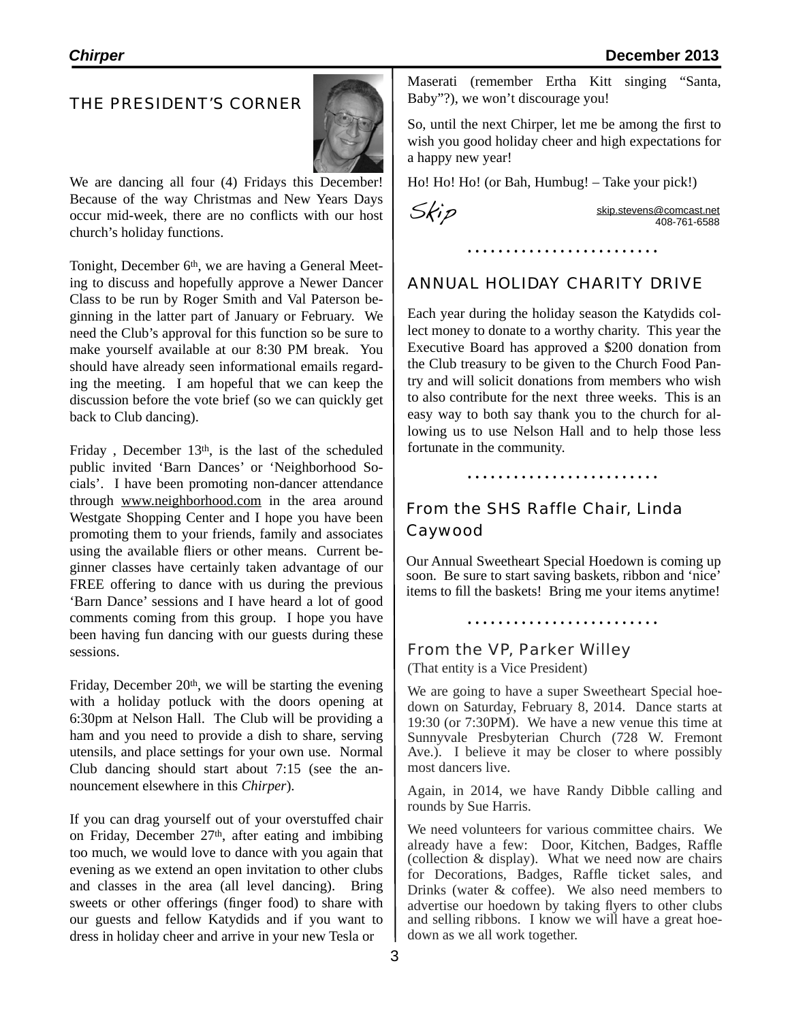#### THE PRESIDENT'S CORNER



We are dancing all four (4) Fridays this December! Because of the way Christmas and New Years Days occur mid-week, there are no conflicts with our host church's holiday functions.

Tonight, December 6<sup>th</sup>, we are having a General Meeting to discuss and hopefully approve a Newer Dancer Class to be run by Roger Smith and Val Paterson beginning in the latter part of January or February. We need the Club's approval for this function so be sure to make yourself available at our 8:30 PM break. You should have already seen informational emails regarding the meeting. I am hopeful that we can keep the discussion before the vote brief (so we can quickly get back to Club dancing).

Friday, December 13<sup>th</sup>, is the last of the scheduled public invited 'Barn Dances' or 'Neighborhood Socials'. I have been promoting non-dancer attendance through [www.neighborhood.com](http://www.neighborhood.com) in the area around Westgate Shopping Center and I hope you have been promoting them to your friends, family and associates using the available fliers or other means. Current beginner classes have certainly taken advantage of our FREE offering to dance with us during the previous 'Barn Dance' sessions and I have heard a lot of good comments coming from this group. I hope you have been having fun dancing with our guests during these sessions.

Friday, December  $20<sup>th</sup>$ , we will be starting the evening with a holiday potluck with the doors opening at 6:30pm at Nelson Hall. The Club will be providing a ham and you need to provide a dish to share, serving utensils, and place settings for your own use. Normal Club dancing should start about 7:15 (see the announcement elsewhere in this *Chirper*).

If you can drag yourself out of your overstuffed chair on Friday, December  $27<sup>th</sup>$ , after eating and imbibing too much, we would love to dance with you again that evening as we extend an open invitation to other clubs and classes in the area (all level dancing). Bring sweets or other offerings (finger food) to share with our guests and fellow Katydids and if you want to dress in holiday cheer and arrive in your new Tesla or

Maserati (remember Ertha Kitt singing "Santa, Baby"?), we won't discourage you!

So, until the next Chirper, let me be among the first to wish you good holiday cheer and high expectations for a happy new year!

Ho! Ho! Ho! (or Bah, Humbug! – Take your pick!)

 $\overrightarrow{S}$ 

### ANNUAL HOLIDAY CHARITY DRIVE

Each year during the holiday season the Katydids collect money to donate to a worthy charity. This year the Executive Board has approved a \$200 donation from the Club treasury to be given to the Church Food Pantry and will solicit donations from members who wish to also contribute for the next three weeks. This is an easy way to both say thank you to the church for allowing us to use Nelson Hall and to help those less fortunate in the community.

## From the SHS Raffle Chair, Linda Caywood

Our Annual Sweetheart Special Hoedown is coming up soon. Be sure to start saving baskets, ribbon and 'nice' items to fill the baskets! Bring me your items anytime!

From the VP, Parker Willey (That entity is a Vice President)

We are going to have a super Sweetheart Special hoedown on Saturday, February 8, 2014. Dance starts at 19:30 (or 7:30PM). We have a new venue this time at Sunnyvale Presbyterian Church (728 W. Fremont Ave.). I believe it may be closer to where possibly most dancers live.

Again, in 2014, we have Randy Dibble calling and rounds by Sue Harris.

We need volunteers for various committee chairs. We already have a few: Door, Kitchen, Badges, Raffle (collection & display). What we need now are chairs for Decorations, Badges, Raffle ticket sales, and Drinks (water & coffee). We also need members to advertise our hoedown by taking flyers to other clubs and selling ribbons. I know we will have a great hoedown as we all work together.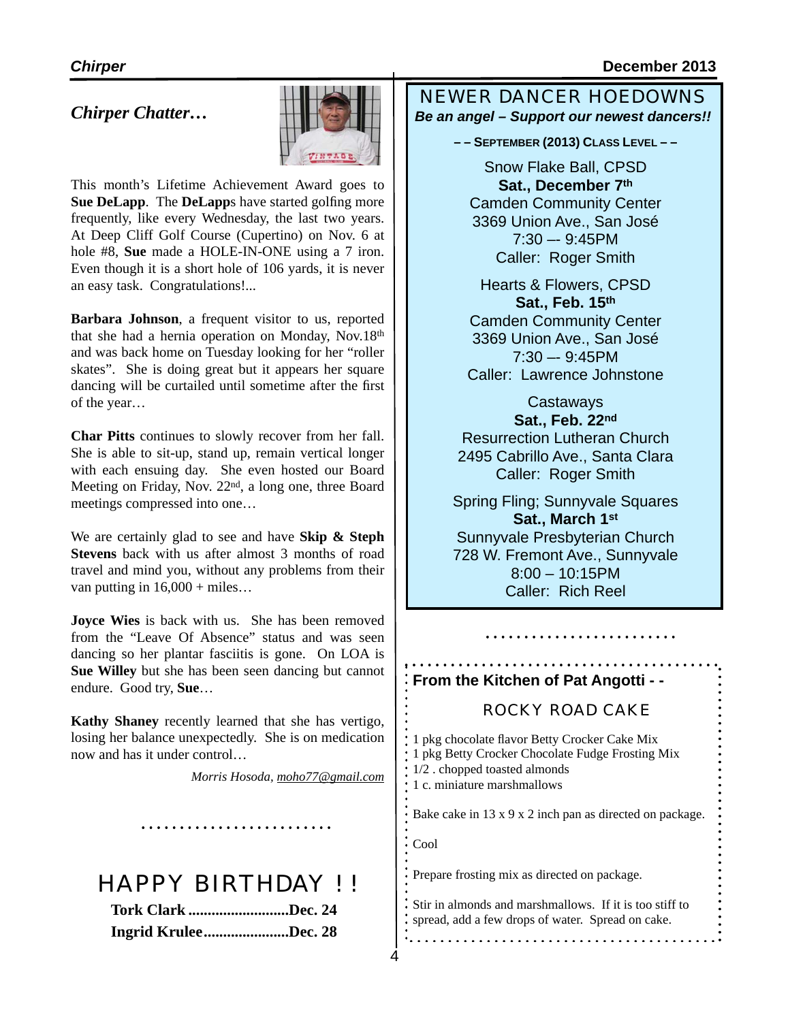#### *Chirper* **December 2013**

#### *Chirper Chatter…*



This month's Lifetime Achievement Award goes to **Sue DeLapp**. The **DeLapp**s have started golfing more frequently, like every Wednesday, the last two years. At Deep Cliff Golf Course (Cupertino) on Nov. 6 at hole #8, **Sue** made a HOLE-IN-ONE using a 7 iron. Even though it is a short hole of 106 yards, it is never an easy task. Congratulations!...

**Barbara Johnson**, a frequent visitor to us, reported that she had a hernia operation on Monday, Nov.18th and was back home on Tuesday looking for her "roller skates". She is doing great but it appears her square dancing will be curtailed until sometime after the first of the year…

**Char Pitts** continues to slowly recover from her fall. She is able to sit-up, stand up, remain vertical longer with each ensuing day. She even hosted our Board Meeting on Friday, Nov. 22nd, a long one, three Board meetings compressed into one…

We are certainly glad to see and have **Skip & Steph Stevens** back with us after almost 3 months of road travel and mind you, without any problems from their van putting in  $16,000 +$  miles...

**Joyce Wies** is back with us. She has been removed from the "Leave Of Absence" status and was seen dancing so her plantar fasciitis is gone. On LOA is **Sue Willey** but she has been seen dancing but cannot endure. Good try, **Sue**…

**Kathy Shaney** recently learned that she has vertigo, losing her balance unexpectedly. She is on medication now and has it under control…

*Morris Hosoda, [moho77@gmail.com](mailto:moho77@gmail.com)*

4

# HAPPY BIRTHDAY ! !

| <b>Tork Clark Dec. 24</b> |  |
|---------------------------|--|
| Ingrid KruleeDec. 28      |  |

NEWER DANCER HOEDOWNS *Be an angel – Support our newest dancers!!*

**– – SEPTEMBER (2013) CLASS LEVEL – –** 

Snow Flake Ball, CPSD **Sat., December 7th** Camden Community Center 3369 Union Ave., San José 7:30 –- 9:45PM Caller: Roger Smith

Hearts & Flowers, CPSD **Sat., Feb. 15th** Camden Community Center 3369 Union Ave., San José 7:30 –- 9:45PM Caller: Lawrence Johnstone

**Castaways Sat., Feb. 22nd** Resurrection Lutheran Church 2495 Cabrillo Ave., Santa Clara Caller: Roger Smith

Spring Fling; Sunnyvale Squares **Sat., March 1st** Sunnyvale Presbyterian Church 728 W. Fremont Ave., Sunnyvale 8:00 – 10:15PM Caller: Rich Reel

#### **From the Kitchen of Pat Angotti - -**

#### ROCKY ROAD CAKE

. . . . . . . . . . . . . . . . . . .

1 pkg chocolate flavor Betty Crocker Cake Mix 1 pkg Betty Crocker Chocolate Fudge Frosting Mix 1/2 . chopped toasted almonds 1 c. miniature marshmallows Bake cake in 13 x 9 x 2 inch pan as directed on package. Cool Prepare frosting mix as directed on package.

Stir in almonds and marshmallows. If it is too stiff to spread, add a few drops of water. Spread on cake.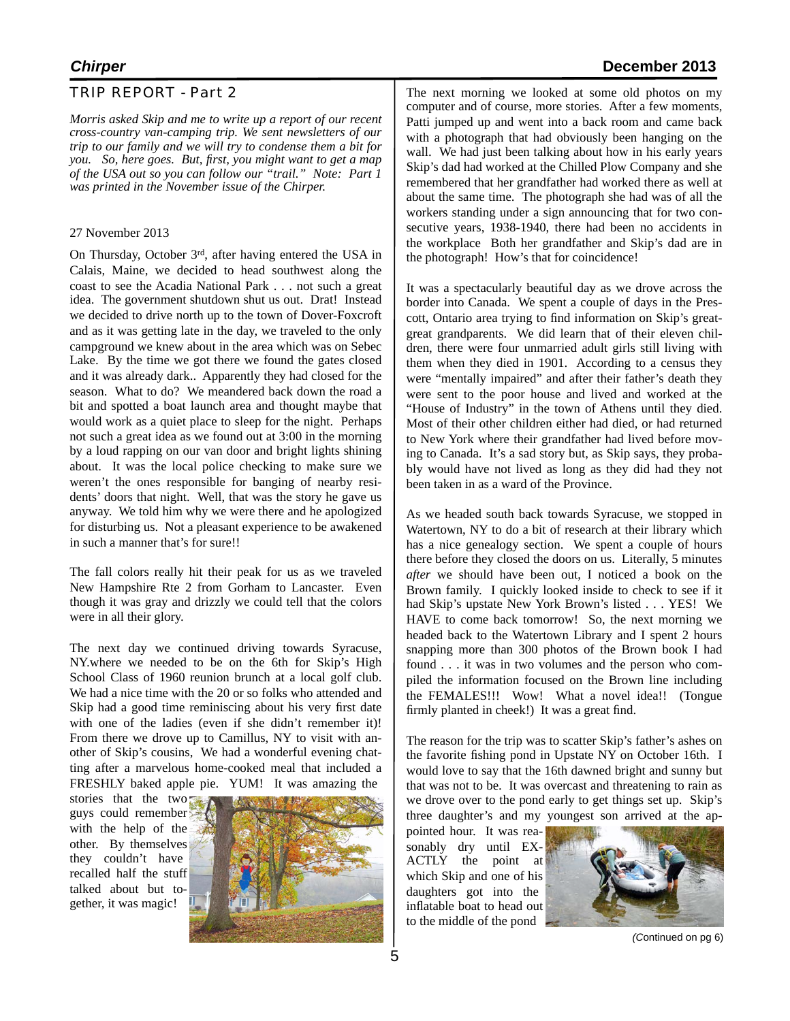#### TRIP REPORT - Part 2

*Morris asked Skip and me to write up a report of our recent cross-country van-camping trip. We sent newsletters of our trip to our family and we will try to condense them a bit for you. So, here goes. But, first, you might want to get a map of the USA out so you can follow our "trail." Note: Part 1 was printed in the November issue of the Chirper.*

#### 27 November 2013

On Thursday, October 3rd, after having entered the USA in Calais, Maine, we decided to head southwest along the coast to see the Acadia National Park . . . not such a great idea. The government shutdown shut us out. Drat! Instead we decided to drive north up to the town of Dover-Foxcroft and as it was getting late in the day, we traveled to the only campground we knew about in the area which was on Sebec Lake. By the time we got there we found the gates closed and it was already dark.. Apparently they had closed for the season. What to do? We meandered back down the road a bit and spotted a boat launch area and thought maybe that would work as a quiet place to sleep for the night. Perhaps not such a great idea as we found out at 3:00 in the morning by a loud rapping on our van door and bright lights shining about. It was the local police checking to make sure we weren't the ones responsible for banging of nearby residents' doors that night. Well, that was the story he gave us anyway. We told him why we were there and he apologized for disturbing us. Not a pleasant experience to be awakened in such a manner that's for sure!!

The fall colors really hit their peak for us as we traveled New Hampshire Rte 2 from Gorham to Lancaster. Even though it was gray and drizzly we could tell that the colors were in all their glory.

The next day we continued driving towards Syracuse, NY.where we needed to be on the 6th for Skip's High School Class of 1960 reunion brunch at a local golf club. We had a nice time with the 20 or so folks who attended and Skip had a good time reminiscing about his very first date with one of the ladies (even if she didn't remember it)! From there we drove up to Camillus, NY to visit with another of Skip's cousins, We had a wonderful evening chatting after a marvelous home-cooked meal that included a FRESHLY baked apple pie. YUM! It was amazing the

stories that the two guys could remember with the help of the other. By themselves they couldn't have recalled half the stuff talked about but together, it was magic!



The next morning we looked at some old photos on my computer and of course, more stories. After a few moments, Patti jumped up and went into a back room and came back with a photograph that had obviously been hanging on the wall. We had just been talking about how in his early years Skip's dad had worked at the Chilled Plow Company and she remembered that her grandfather had worked there as well at about the same time. The photograph she had was of all the workers standing under a sign announcing that for two consecutive years, 1938-1940, there had been no accidents in the workplace Both her grandfather and Skip's dad are in the photograph! How's that for coincidence!

It was a spectacularly beautiful day as we drove across the border into Canada. We spent a couple of days in the Prescott, Ontario area trying to find information on Skip's greatgreat grandparents. We did learn that of their eleven children, there were four unmarried adult girls still living with them when they died in 1901. According to a census they were "mentally impaired" and after their father's death they were sent to the poor house and lived and worked at the "House of Industry" in the town of Athens until they died. Most of their other children either had died, or had returned to New York where their grandfather had lived before moving to Canada. It's a sad story but, as Skip says, they probably would have not lived as long as they did had they not been taken in as a ward of the Province.

As we headed south back towards Syracuse, we stopped in Watertown, NY to do a bit of research at their library which has a nice genealogy section. We spent a couple of hours there before they closed the doors on us. Literally, 5 minutes *after* we should have been out, I noticed a book on the Brown family. I quickly looked inside to check to see if it had Skip's upstate New York Brown's listed . . . YES! We HAVE to come back tomorrow! So, the next morning we headed back to the Watertown Library and I spent 2 hours snapping more than 300 photos of the Brown book I had found . . . it was in two volumes and the person who compiled the information focused on the Brown line including the FEMALES!!! Wow! What a novel idea!! (Tongue firmly planted in cheek!) It was a great find.

The reason for the trip was to scatter Skip's father's ashes on the favorite fishing pond in Upstate NY on October 16th. I would love to say that the 16th dawned bright and sunny but that was not to be. It was overcast and threatening to rain as we drove over to the pond early to get things set up. Skip's three daughter's and my youngest son arrived at the ap-

pointed hour. It was reasonably dry until EX-ACTLY the point at which Skip and one of his daughters got into the inflatable boat to head out to the middle of the pond



*(C*ontinued on pg 6)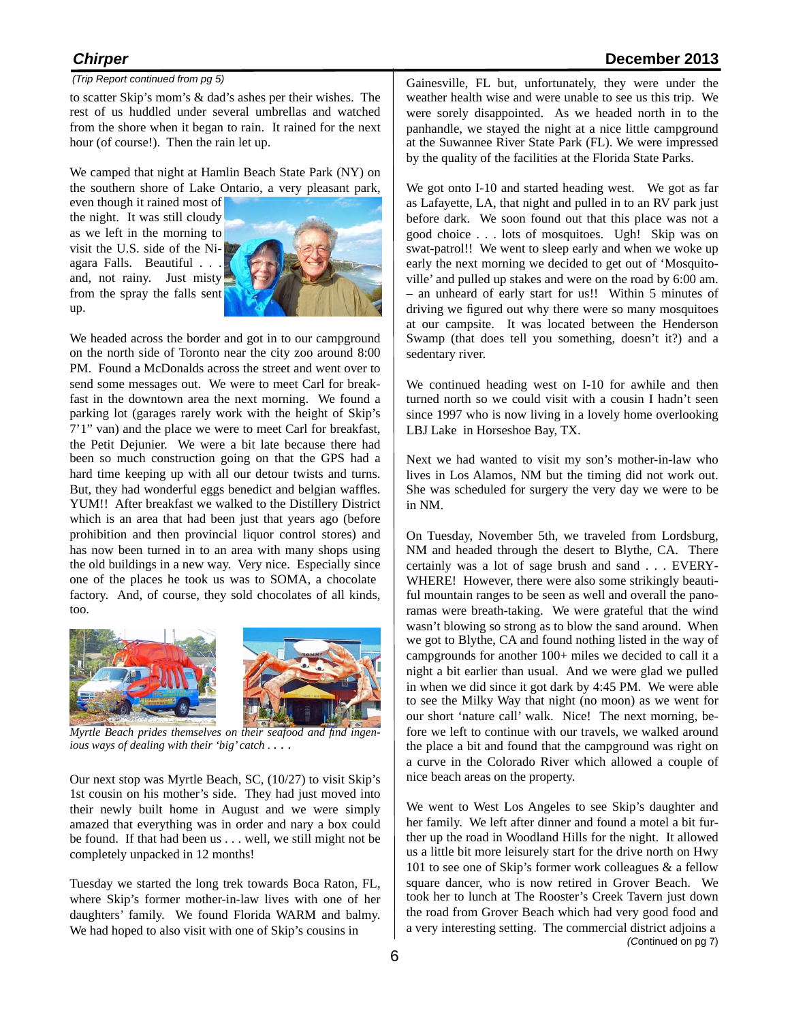#### *(Trip Report continued from pg 5)*

to scatter Skip's mom's & dad's ashes per their wishes. The rest of us huddled under several umbrellas and watched from the shore when it began to rain. It rained for the next hour (of course!). Then the rain let up.

We camped that night at Hamlin Beach State Park (NY) on the southern shore of Lake Ontario, a very pleasant park,

even though it rained most of the night. It was still cloudy as we left in the morning to visit the U.S. side of the Niagara Falls. Beautiful . . . and, not rainy. Just misty from the spray the falls sent up.



We headed across the border and got in to our campground on the north side of Toronto near the city zoo around 8:00 PM. Found a McDonalds across the street and went over to send some messages out. We were to meet Carl for breakfast in the downtown area the next morning. We found a parking lot (garages rarely work with the height of Skip's 7'1" van) and the place we were to meet Carl for breakfast, the Petit Dejunier. We were a bit late because there had been so much construction going on that the GPS had a hard time keeping up with all our detour twists and turns. But, they had wonderful eggs benedict and belgian waffles. YUM!! After breakfast we walked to the Distillery District which is an area that had been just that years ago (before prohibition and then provincial liquor control stores) and has now been turned in to an area with many shops using the old buildings in a new way. Very nice. Especially since one of the places he took us was to SOMA, a chocolate factory. And, of course, they sold chocolates of all kinds, too.



*Myrtle Beach prides themselves on their seafood and find ingenious ways of dealing with their 'big' catch .* . . .

Our next stop was Myrtle Beach, SC, (10/27) to visit Skip's 1st cousin on his mother's side. They had just moved into their newly built home in August and we were simply amazed that everything was in order and nary a box could be found. If that had been us . . . well, we still might not be completely unpacked in 12 months!

Tuesday we started the long trek towards Boca Raton, FL, where Skip's former mother-in-law lives with one of her daughters' family. We found Florida WARM and balmy. We had hoped to also visit with one of Skip's cousins in

Gainesville, FL but, unfortunately, they were under the weather health wise and were unable to see us this trip. We were sorely disappointed. As we headed north in to the panhandle, we stayed the night at a nice little campground at the Suwannee River State Park (FL). We were impressed by the quality of the facilities at the Florida State Parks.

We got onto I-10 and started heading west. We got as far as Lafayette, LA, that night and pulled in to an RV park just before dark. We soon found out that this place was not a good choice . . . lots of mosquitoes. Ugh! Skip was on swat-patrol!! We went to sleep early and when we woke up early the next morning we decided to get out of 'Mosquitoville' and pulled up stakes and were on the road by 6:00 am. – an unheard of early start for us!! Within 5 minutes of driving we figured out why there were so many mosquitoes at our campsite. It was located between the Henderson Swamp (that does tell you something, doesn't it?) and a sedentary river.

We continued heading west on I-10 for awhile and then turned north so we could visit with a cousin I hadn't seen since 1997 who is now living in a lovely home overlooking LBJ Lake in Horseshoe Bay, TX.

Next we had wanted to visit my son's mother-in-law who lives in Los Alamos, NM but the timing did not work out. She was scheduled for surgery the very day we were to be in NM.

On Tuesday, November 5th, we traveled from Lordsburg, NM and headed through the desert to Blythe, CA. There certainly was a lot of sage brush and sand . . . EVERY-WHERE! However, there were also some strikingly beautiful mountain ranges to be seen as well and overall the panoramas were breath-taking. We were grateful that the wind wasn't blowing so strong as to blow the sand around. When we got to Blythe, CA and found nothing listed in the way of campgrounds for another 100+ miles we decided to call it a night a bit earlier than usual. And we were glad we pulled in when we did since it got dark by 4:45 PM. We were able to see the Milky Way that night (no moon) as we went for our short 'nature call' walk. Nice! The next morning, before we left to continue with our travels, we walked around the place a bit and found that the campground was right on a curve in the Colorado River which allowed a couple of nice beach areas on the property.

We went to West Los Angeles to see Skip's daughter and her family. We left after dinner and found a motel a bit further up the road in Woodland Hills for the night. It allowed us a little bit more leisurely start for the drive north on Hwy 101 to see one of Skip's former work colleagues & a fellow square dancer, who is now retired in Grover Beach. We took her to lunch at The Rooster's Creek Tavern just down the road from Grover Beach which had very good food and a very interesting setting. The commercial district adjoins a *(C*ontinued on pg 7)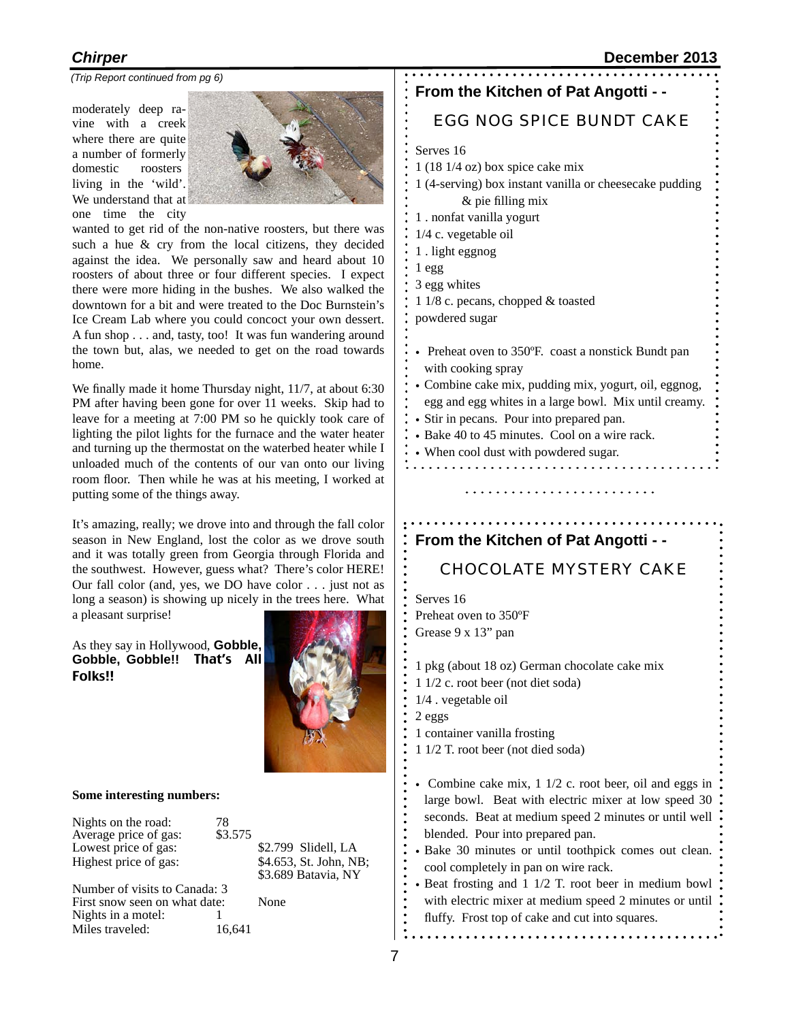*(Trip Report continued from pg 6)*

moderately deep ravine with a creek where there are quite a number of formerly domestic roosters living in the 'wild'. We understand that at one time the city



wanted to get rid of the non-native roosters, but there was such a hue & cry from the local citizens, they decided against the idea. We personally saw and heard about 10 roosters of about three or four different species. I expect there were more hiding in the bushes. We also walked the downtown for a bit and were treated to the Doc Burnstein's Ice Cream Lab where you could concoct your own dessert. A fun shop . . . and, tasty, too! It was fun wandering around the town but, alas, we needed to get on the road towards home.

We finally made it home Thursday night, 11/7, at about 6:30 PM after having been gone for over 11 weeks. Skip had to leave for a meeting at 7:00 PM so he quickly took care of lighting the pilot lights for the furnace and the water heater and turning up the thermostat on the waterbed heater while I unloaded much of the contents of our van onto our living room floor. Then while he was at his meeting, I worked at putting some of the things away.

It's amazing, really; we drove into and through the fall color season in New England, lost the color as we drove south and it was totally green from Georgia through Florida and the southwest. However, guess what? There's color HERE! Our fall color (and, yes, we DO have color . . . just not as long a season) is showing up nicely in the trees here. What a pleasant surprise!

As they say in Hollywood, **Gobble, Gobble, Gobble!!**That's All Folks!!



#### **Some interesting numbers:**

Miles traveled:

| Nights on the road:<br>Average price of gas: | 78<br>\$3.575 |      |                                               |
|----------------------------------------------|---------------|------|-----------------------------------------------|
| Lowest price of gas:                         |               |      | \$2.799 Slidell, LA                           |
| Highest price of gas:                        |               |      | \$4.653, St. John, NB;<br>\$3.689 Batavia, NY |
| Number of visits to Canada: 3                |               |      |                                               |
| First snow seen on what date:                |               | None |                                               |

#### **From the Kitchen of Pat Angotti - -**

#### EGG NOG SPICE BUNDT CAKE

Serves 16

- 1 (18 1/4 oz) box spice cake mix
- 1 (4-serving) box instant vanilla or cheesecake pudding & pie filling mix
- 1 . nonfat vanilla yogurt
- 1/4 c. vegetable oil
- 1 . light eggnog
- 1 egg
- 3 egg whites
- 1 1/8 c. pecans, chopped & toasted
- powdered sugar
- Preheat oven to 350ºF. coast a nonstick Bundt pan with cooking spray
- Combine cake mix, pudding mix, yogurt, oil, eggnog, egg and egg whites in a large bowl. Mix until creamy.
- Stir in pecans. Pour into prepared pan.
- Bake 40 to 45 minutes. Cool on a wire rack.
- When cool dust with powdered sugar.

#### **From the Kitchen of Pat Angotti - -**

#### CHOCOLATE MYSTERY CAKE

Serves 16 Preheat oven to 350ºF

Grease 9 x 13" pan

1 pkg (about 18 oz) German chocolate cake mix

- 1 1/2 c. root beer (not diet soda)
- 1/4 . vegetable oil
- 2 eggs
- 1 container vanilla frosting
- 1 1/2 T. root beer (not died soda)
- Combine cake mix, 1 1/2 c. root beer, oil and eggs in large bowl. Beat with electric mixer at low speed 30 seconds. Beat at medium speed 2 minutes or until well blended. Pour into prepared pan.
- Bake 30 minutes or until toothpick comes out clean. cool completely in pan on wire rack.
- Beat frosting and 1 1/2 T. root beer in medium bowl with electric mixer at medium speed 2 minutes or until fluffy. Frost top of cake and cut into squares.

. . . . . . . . . . . . . . . . .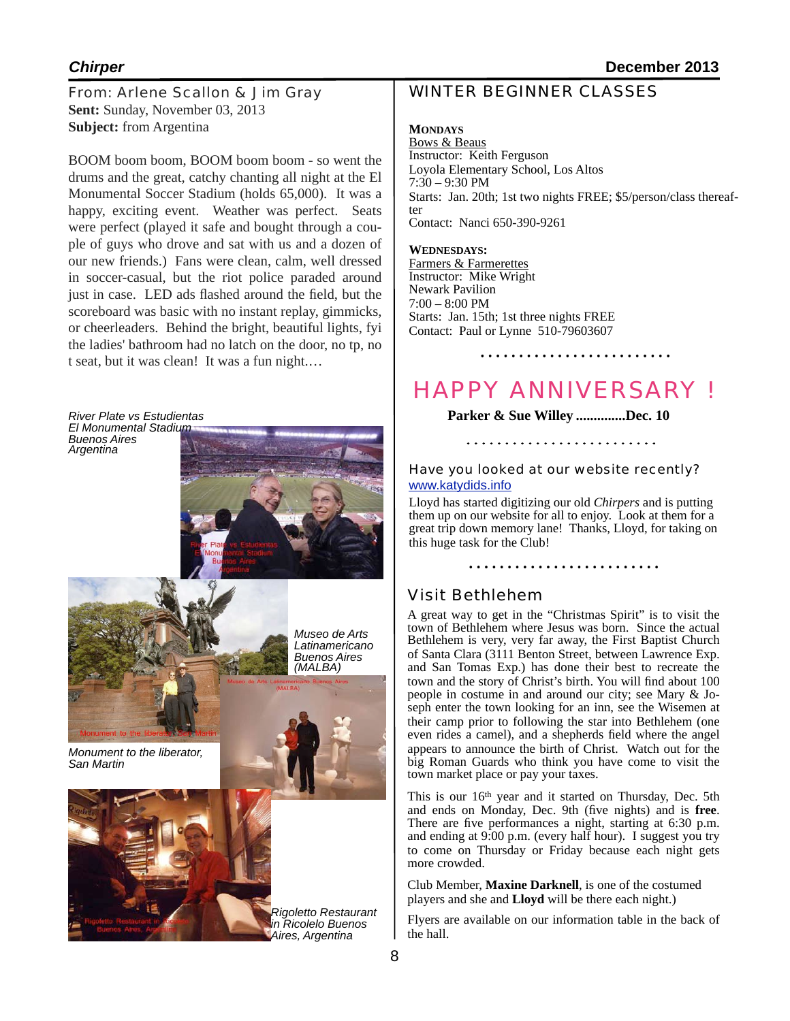From: Arlene Scallon & Jim Gray **Sent:** Sunday, November 03, 2013 **Subject:** from Argentina

BOOM boom boom, BOOM boom boom - so went the drums and the great, catchy chanting all night at the El Monumental Soccer Stadium (holds 65,000). It was a happy, exciting event. Weather was perfect. Seats were perfect (played it safe and bought through a couple of guys who drove and sat with us and a dozen of our new friends.) Fans were clean, calm, well dressed in soccer-casual, but the riot police paraded around just in case. LED ads flashed around the field, but the scoreboard was basic with no instant replay, gimmicks, or cheerleaders. Behind the bright, beautiful lights, fyi the ladies' bathroom had no latch on the door, no tp, no t seat, but it was clean! It was a fun night.…

*River Plate vs Estudientas El Monumental Stadium Buenos Aires*



*Rigoletto Restaurant in Ricolelo Buenos Aires, Argentina*

#### WINTER BEGINNER CLASSES

#### **MONDAYS**

Bows & Beaus Instructor: Keith Ferguson Loyola Elementary School, Los Altos  $7:30 - 9:30$  PM Starts: Jan. 20th; 1st two nights FREE; \$5/person/class thereaf- ter Contact: Nanci 650-390-9261

#### **WEDNESDAYS:**

Farmers & Farmerettes Instructor: Mike Wright Newark Pavilion  $7:00 - 8:00$  PM Starts: Jan. 15th; 1st three nights FREE Contact: Paul or Lynne 510-79603607

# HAPPY ANNIVERSARY !

**Parker & Sue Willey ..............Dec. 10** 

# Have you looked at our website recently?

#### [www.katydids.info](http://www.katydids.info)

Lloyd has started digitizing our old *Chirpers* and is putting them up on our website for all to enjoy. Look at them for a great trip down memory lane! Thanks, Lloyd, for taking on this huge task for the Club!

# Visit Bethlehem

A great way to get in the "Christmas Spirit" is to visit the town of Bethlehem where Jesus was born. Since the actual Bethlehem is very, very far away, the First Baptist Church of Santa Clara (3111 Benton Street, between Lawrence Exp. and San Tomas Exp.) has done their best to recreate the town and the story of Christ's birth. You will find about 100 people in costume in and around our city; see Mary & Joseph enter the town looking for an inn, see the Wisemen at their camp prior to following the star into Bethlehem (one even rides a camel), and a shepherds field where the angel appears to announce the birth of Christ. Watch out for the big Roman Guards who think you have come to visit the town market place or pay your taxes.

This is our 16<sup>th</sup> year and it started on Thursday, Dec. 5th and ends on Monday, Dec. 9th (five nights) and is **free**. There are five performances a night, starting at 6:30 p.m. and ending at 9:00 p.m. (every half hour). I suggest you try to come on Thursday or Friday because each night gets more crowded.

Club Member, **Maxine Darknell**, is one of the costumed players and she and **Lloyd** will be there each night.)

Flyers are available on our information table in the back of the hall.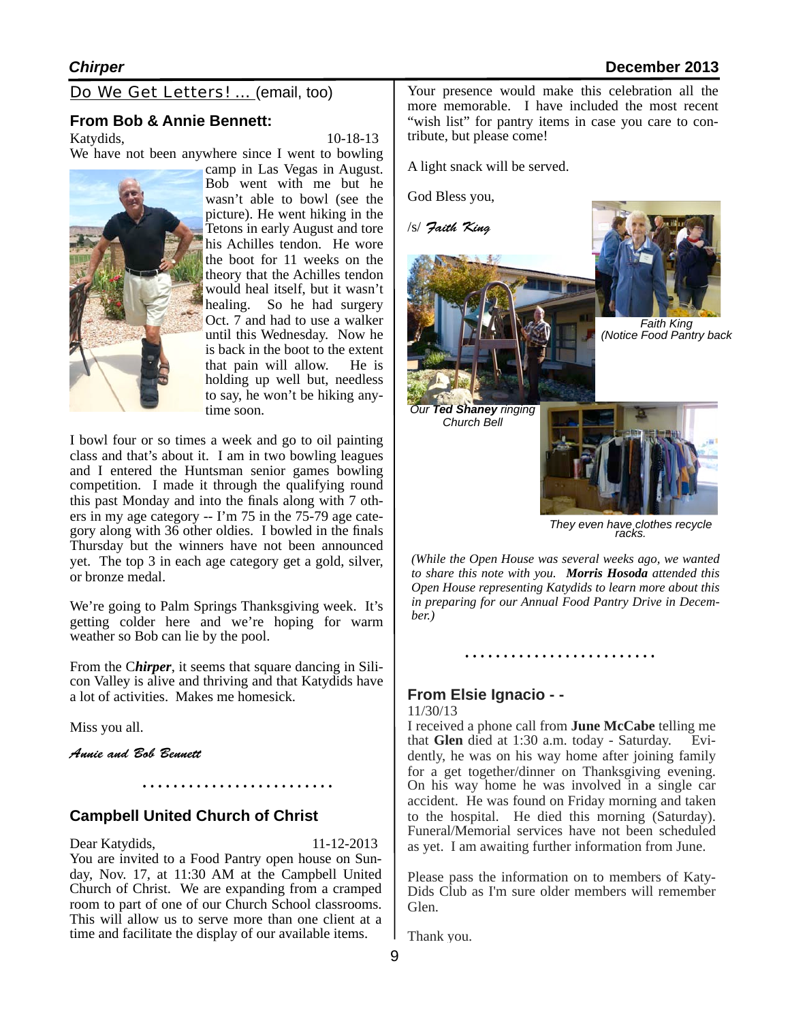Do We Get Letters! … (email, too)

#### **From Bob & Annie Bennett:**

Katydids, 10-18-13

We have not been anywhere since I went to bowling camp in Las Vegas in August. Bob went with me but he wasn't able to bowl (see the picture). He went hiking in the Tetons in early August and tore his Achilles tendon. He wore the boot for 11 weeks on the theory that the Achilles tendon would heal itself, but it wasn't healing. So he had surgery Oct. 7 and had to use a walker until this Wednesday. Now he is back in the boot to the extent that pain will allow. He is holding up well but, needless to say, he won't be hiking anytime soon.

I bowl four or so times a week and go to oil painting class and that's about it. I am in two bowling leagues and I entered the Huntsman senior games bowling competition. I made it through the qualifying round this past Monday and into the finals along with 7 others in my age category -- I'm 75 in the 75-79 age category along with 36 other oldies. I bowled in the finals Thursday but the winners have not been announced yet. The top 3 in each age category get a gold, silver, or bronze medal.

We're going to Palm Springs Thanksgiving week. It's getting colder here and we're hoping for warm weather so Bob can lie by the pool.

From the C*hirper*, it seems that square dancing in Silicon Valley is alive and thriving and that Katydids have a lot of activities. Makes me homesick.

Miss you all.

*Annie and Bob Bennett*

#### **Campbell United Church of Christ**

#### Dear Katydids, 11-12-2013

You are invited to a Food Pantry open house on Sunday, Nov. 17, at 11:30 AM at the Campbell United Church of Christ. We are expanding from a cramped room to part of one of our Church School classrooms. This will allow us to serve more than one client at a time and facilitate the display of our available items.

Your presence would make this celebration all the more memorable. I have included the most recent "wish list" for pantry items in case you care to contribute, but please come!

A light snack will be served.

God Bless you,

/s/ *Faith King*



*They even have clothes recycle racks.*

*(While the Open House was several weeks ago, we wanted to share this note with you. Morris Hosoda attended this Open House representing Katydids to learn more about this in preparing for our Annual Food Pantry Drive in December.)*

#### **From Elsie Ignacio - -**

#### 11/30/13

I received a phone call from **June McCabe** telling me that **Glen** died at 1:30 a.m. today - Saturday. Evidently, he was on his way home after joining family for a get together/dinner on Thanksgiving evening. On his way home he was involved in a single car accident. He was found on Friday morning and taken to the hospital. He died this morning (Saturday). Funeral/Memorial services have not been scheduled as yet. I am awaiting further information from June.

Please pass the information on to members of Katy-Dids Club as I'm sure older members will remember Glen.

Thank you.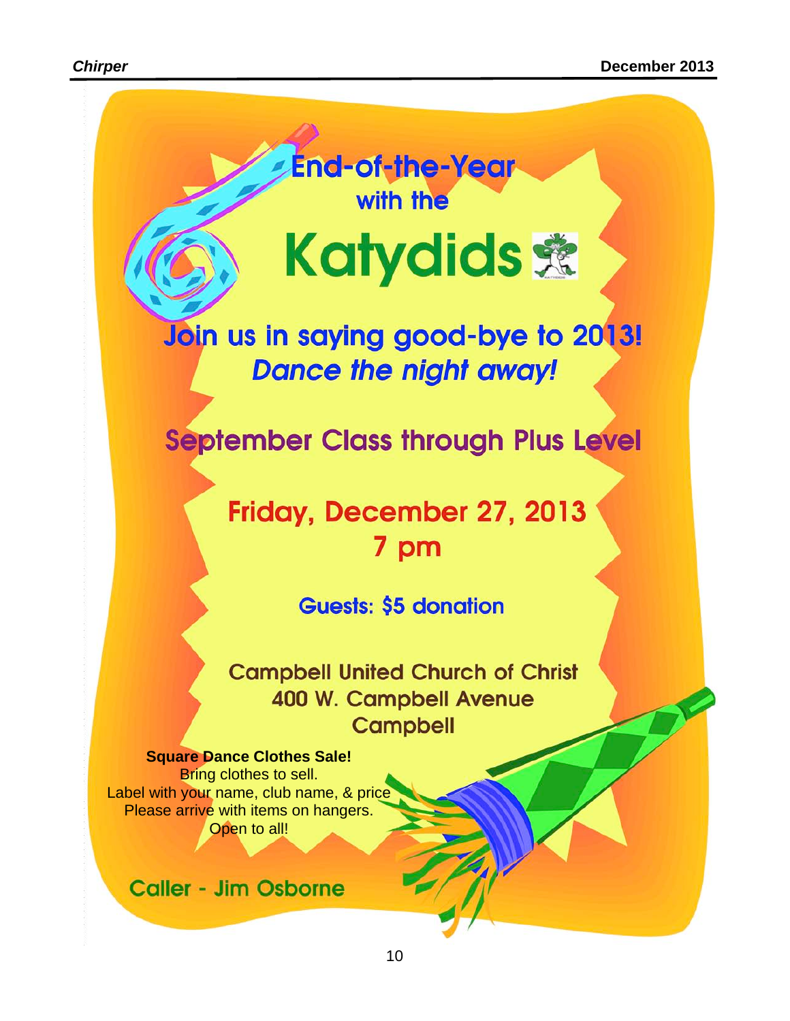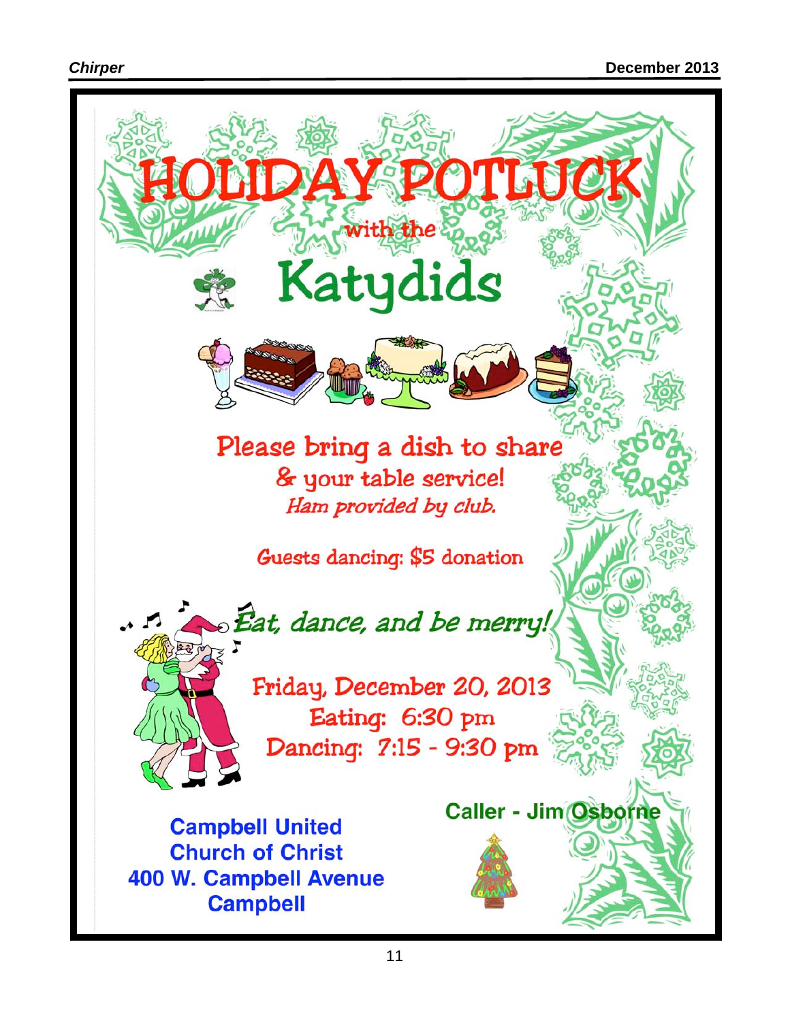